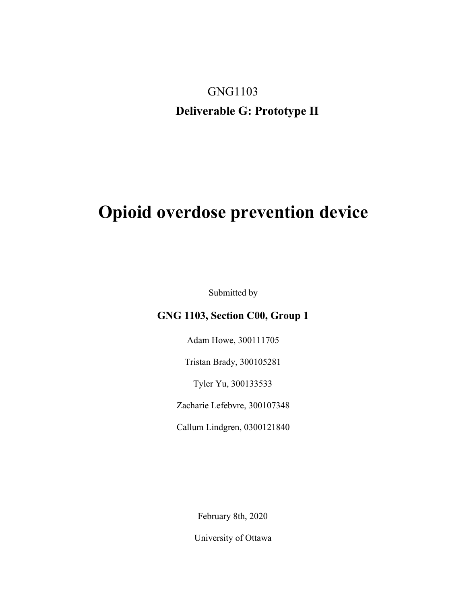# GNG1103 **Deliverable G: Prototype II**

# **Opioid overdose prevention device**

Submitted by

#### **GNG 1103, Section C00, Group 1**

Adam Howe, 300111705

Tristan Brady, 300105281

Tyler Yu, 300133533

Zacharie Lefebvre, 300107348

Callum Lindgren, 0300121840

February 8th, 2020

University of Ottawa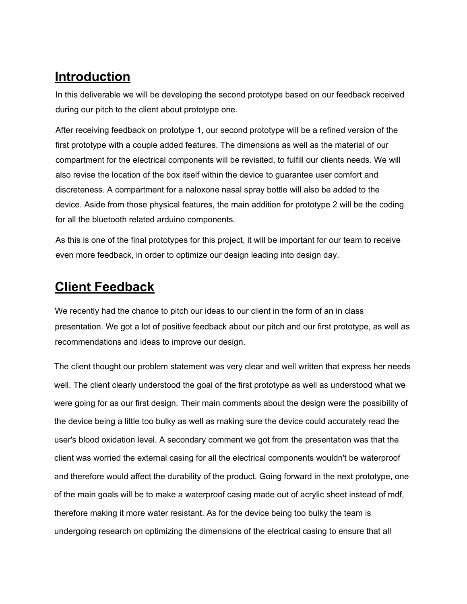# **Introduction**

In this deliverable we will be developing the second prototype based on our feedback received during our pitch to the client about prototype one.

After receiving feedback on prototype 1, our second prototype will be a refined version of the first prototype with a couple added features. The dimensions as well as the material of our compartment for the electrical components will be revisited, to fulfill our clients needs. We will also revise the location of the box itself within the device to guarantee user comfort and discreteness. A compartment for a naloxone nasal spray bottle will also be added to the device. Aside from those physical features, the main addition for prototype 2 will be the coding for all the bluetooth related arduino components.

As this is one of the final prototypes for this project, it will be important for our team to receive even more feedback, in order to optimize our design leading into design day.

# **Client Feedback**

We recently had the chance to pitch our ideas to our client in the form of an in class presentation. We got a lot of positive feedback about our pitch and our first prototype, as well as recommendations and ideas to improve our design.

The client thought our problem statement was very clear and well written that express her needs well. The client clearly understood the goal of the first prototype as well as understood what we were going for as our first design. Their main comments about the design were the possibility of the device being a little too bulky as well as making sure the device could accurately read the user's blood oxidation level. A secondary comment we got from the presentation was that the client was worried the external casing for all the electrical components wouldn't be waterproof and therefore would affect the durability of the product. Going forward in the next prototype, one of the main goals will be to make a waterproof casing made out of acrylic sheet instead of mdf, therefore making it more water resistant. As for the device being too bulky the team is undergoing research on optimizing the dimensions of the electrical casing to ensure that all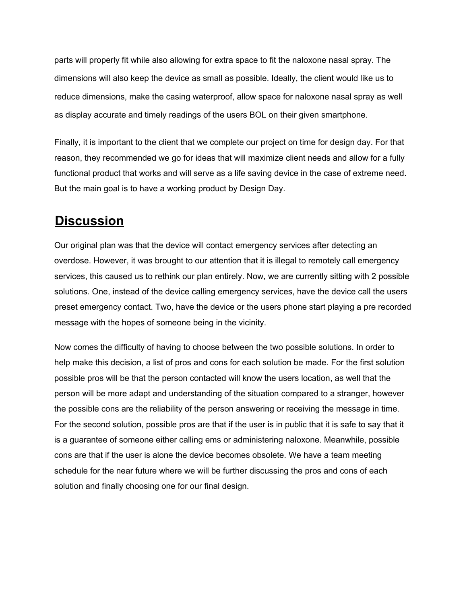parts will properly fit while also allowing for extra space to fit the naloxone nasal spray. The dimensions will also keep the device as small as possible. Ideally, the client would like us to reduce dimensions, make the casing waterproof, allow space for naloxone nasal spray as well as display accurate and timely readings of the users BOL on their given smartphone.

Finally, it is important to the client that we complete our project on time for design day. For that reason, they recommended we go for ideas that will maximize client needs and allow for a fully functional product that works and will serve as a life saving device in the case of extreme need. But the main goal is to have a working product by Design Day.

### **Discussion**

Our original plan was that the device will contact emergency services after detecting an overdose. However, it was brought to our attention that it is illegal to remotely call emergency services, this caused us to rethink our plan entirely. Now, we are currently sitting with 2 possible solutions. One, instead of the device calling emergency services, have the device call the users preset emergency contact. Two, have the device or the users phone start playing a pre recorded message with the hopes of someone being in the vicinity.

Now comes the difficulty of having to choose between the two possible solutions. In order to help make this decision, a list of pros and cons for each solution be made. For the first solution possible pros will be that the person contacted will know the users location, as well that the person will be more adapt and understanding of the situation compared to a stranger, however the possible cons are the reliability of the person answering or receiving the message in time. For the second solution, possible pros are that if the user is in public that it is safe to say that it is a guarantee of someone either calling ems or administering naloxone. Meanwhile, possible cons are that if the user is alone the device becomes obsolete. We have a team meeting schedule for the near future where we will be further discussing the pros and cons of each solution and finally choosing one for our final design.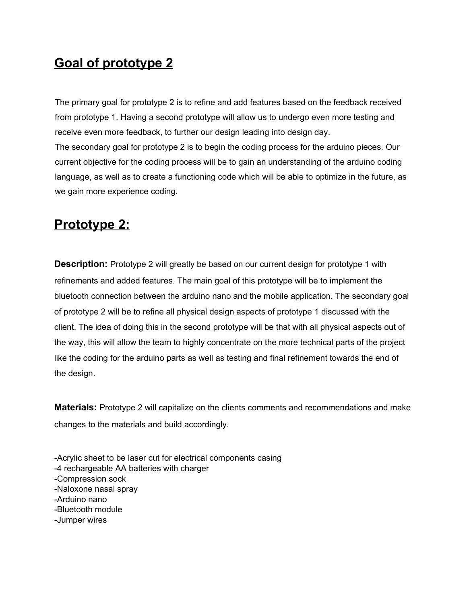# **Goal of prototype 2**

The primary goal for prototype 2 is to refine and add features based on the feedback received from prototype 1. Having a second prototype will allow us to undergo even more testing and receive even more feedback, to further our design leading into design day.

The secondary goal for prototype 2 is to begin the coding process for the arduino pieces. Our current objective for the coding process will be to gain an understanding of the arduino coding language, as well as to create a functioning code which will be able to optimize in the future, as we gain more experience coding.

### **Prototype 2:**

**Description:** Prototype 2 will greatly be based on our current design for prototype 1 with refinements and added features. The main goal of this prototype will be to implement the bluetooth connection between the arduino nano and the mobile application. The secondary goal of prototype 2 will be to refine all physical design aspects of prototype 1 discussed with the client. The idea of doing this in the second prototype will be that with all physical aspects out of the way, this will allow the team to highly concentrate on the more technical parts of the project like the coding for the arduino parts as well as testing and final refinement towards the end of the design.

**Materials:** Prototype 2 will capitalize on the clients comments and recommendations and make changes to the materials and build accordingly.

-Acrylic sheet to be laser cut for electrical components casing -4 rechargeable AA batteries with charger -Compression sock -Naloxone nasal spray -Arduino nano -Bluetooth module -Jumper wires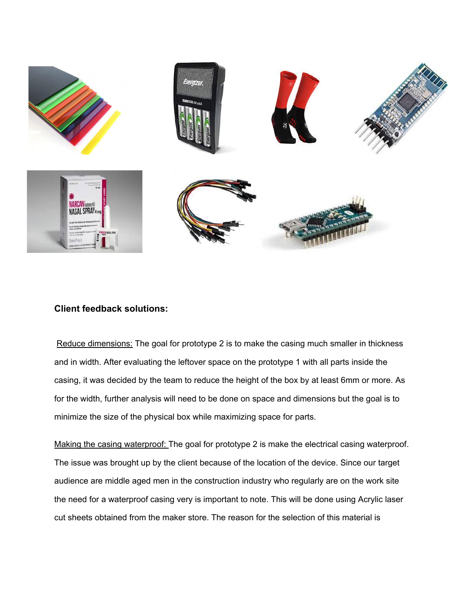

#### **Client feedback solutions:**

Reduce dimensions: The goal for prototype 2 is to make the casing much smaller in thickness and in width. After evaluating the leftover space on the prototype 1 with all parts inside the casing, it was decided by the team to reduce the height of the box by at least 6mm or more. As for the width, further analysis will need to be done on space and dimensions but the goal is to minimize the size of the physical box while maximizing space for parts.

Making the casing waterproof: The goal for prototype 2 is make the electrical casing waterproof. The issue was brought up by the client because of the location of the device. Since our target audience are middle aged men in the construction industry who regularly are on the work site the need for a waterproof casing very is important to note. This will be done using Acrylic laser cut sheets obtained from the maker store. The reason for the selection of this material is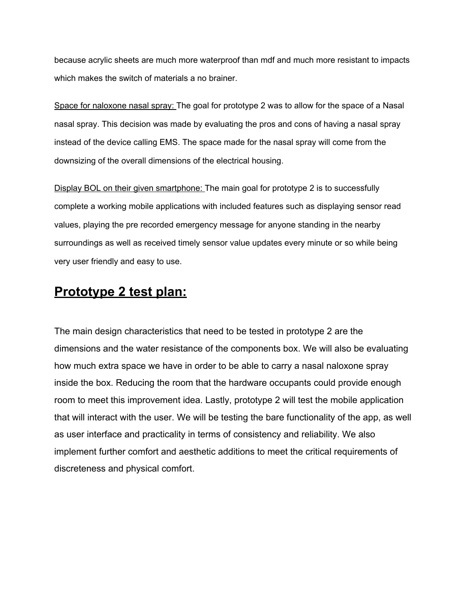because acrylic sheets are much more waterproof than mdf and much more resistant to impacts which makes the switch of materials a no brainer.

Space for naloxone nasal spray: The goal for prototype 2 was to allow for the space of a Nasal nasal spray. This decision was made by evaluating the pros and cons of having a nasal spray instead of the device calling EMS. The space made for the nasal spray will come from the downsizing of the overall dimensions of the electrical housing.

Display BOL on their given smartphone: The main goal for prototype 2 is to successfully complete a working mobile applications with included features such as displaying sensor read values, playing the pre recorded emergency message for anyone standing in the nearby surroundings as well as received timely sensor value updates every minute or so while being very user friendly and easy to use.

### **Prototype 2 test plan:**

The main design characteristics that need to be tested in prototype 2 are the dimensions and the water resistance of the components box. We will also be evaluating how much extra space we have in order to be able to carry a nasal naloxone spray inside the box. Reducing the room that the hardware occupants could provide enough room to meet this improvement idea. Lastly, prototype 2 will test the mobile application that will interact with the user. We will be testing the bare functionality of the app, as well as user interface and practicality in terms of consistency and reliability. We also implement further comfort and aesthetic additions to meet the critical requirements of discreteness and physical comfort.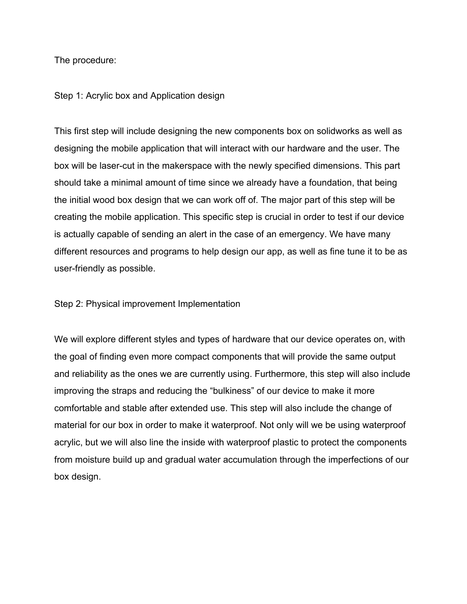The procedure:

#### Step 1: Acrylic box and Application design

This first step will include designing the new components box on solidworks as well as designing the mobile application that will interact with our hardware and the user. The box will be laser-cut in the makerspace with the newly specified dimensions. This part should take a minimal amount of time since we already have a foundation, that being the initial wood box design that we can work off of. The major part of this step will be creating the mobile application. This specific step is crucial in order to test if our device is actually capable of sending an alert in the case of an emergency. We have many different resources and programs to help design our app, as well as fine tune it to be as user-friendly as possible.

Step 2: Physical improvement Implementation

We will explore different styles and types of hardware that our device operates on, with the goal of finding even more compact components that will provide the same output and reliability as the ones we are currently using. Furthermore, this step will also include improving the straps and reducing the "bulkiness" of our device to make it more comfortable and stable after extended use. This step will also include the change of material for our box in order to make it waterproof. Not only will we be using waterproof acrylic, but we will also line the inside with waterproof plastic to protect the components from moisture build up and gradual water accumulation through the imperfections of our box design.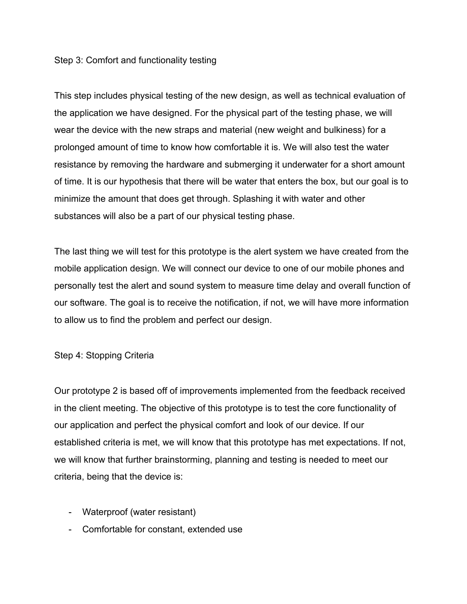#### Step 3: Comfort and functionality testing

This step includes physical testing of the new design, as well as technical evaluation of the application we have designed. For the physical part of the testing phase, we will wear the device with the new straps and material (new weight and bulkiness) for a prolonged amount of time to know how comfortable it is. We will also test the water resistance by removing the hardware and submerging it underwater for a short amount of time. It is our hypothesis that there will be water that enters the box, but our goal is to minimize the amount that does get through. Splashing it with water and other substances will also be a part of our physical testing phase.

The last thing we will test for this prototype is the alert system we have created from the mobile application design. We will connect our device to one of our mobile phones and personally test the alert and sound system to measure time delay and overall function of our software. The goal is to receive the notification, if not, we will have more information to allow us to find the problem and perfect our design.

#### Step 4: Stopping Criteria

Our prototype 2 is based off of improvements implemented from the feedback received in the client meeting. The objective of this prototype is to test the core functionality of our application and perfect the physical comfort and look of our device. If our established criteria is met, we will know that this prototype has met expectations. If not, we will know that further brainstorming, planning and testing is needed to meet our criteria, being that the device is:

- Waterproof (water resistant)
- Comfortable for constant, extended use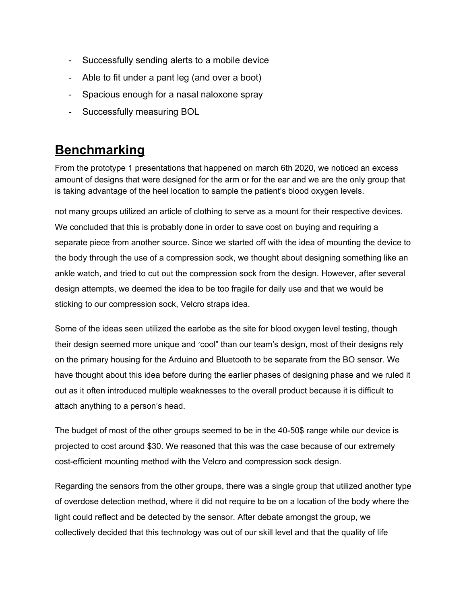- Successfully sending alerts to a mobile device
- Able to fit under a pant leg (and over a boot)
- Spacious enough for a nasal naloxone spray
- Successfully measuring BOL

### **Benchmarking**

From the prototype 1 presentations that happened on march 6th 2020, we noticed an excess amount of designs that were designed for the arm or for the ear and we are the only group that is taking advantage of the heel location to sample the patient's blood oxygen levels.

not many groups utilized an article of clothing to serve as a mount for their respective devices. We concluded that this is probably done in order to save cost on buying and requiring a separate piece from another source. Since we started off with the idea of mounting the device to the body through the use of a compression sock, we thought about designing something like an ankle watch, and tried to cut out the compression sock from the design. However, after several design attempts, we deemed the idea to be too fragile for daily use and that we would be sticking to our compression sock, Velcro straps idea.

Some of the ideas seen utilized the earlobe as the site for blood oxygen level testing, though their design seemed more unique and 'cool" than our team's design, most of their designs rely on the primary housing for the Arduino and Bluetooth to be separate from the BO sensor. We have thought about this idea before during the earlier phases of designing phase and we ruled it out as it often introduced multiple weaknesses to the overall product because it is difficult to attach anything to a person's head.

The budget of most of the other groups seemed to be in the 40-50\$ range while our device is projected to cost around \$30. We reasoned that this was the case because of our extremely cost-efficient mounting method with the Velcro and compression sock design.

Regarding the sensors from the other groups, there was a single group that utilized another type of overdose detection method, where it did not require to be on a location of the body where the light could reflect and be detected by the sensor. After debate amongst the group, we collectively decided that this technology was out of our skill level and that the quality of life